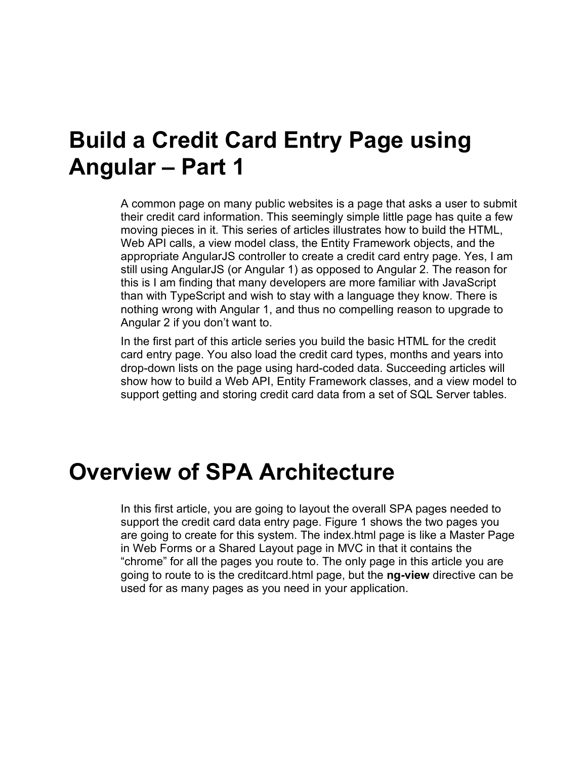### **Build a Credit Card Entry Page using Angular – Part 1**

A common page on many public websites is a page that asks a user to submit their credit card information. This seemingly simple little page has quite a few moving pieces in it. This series of articles illustrates how to build the HTML, Web API calls, a view model class, the Entity Framework objects, and the appropriate AngularJS controller to create a credit card entry page. Yes, I am still using AngularJS (or Angular 1) as opposed to Angular 2. The reason for this is I am finding that many developers are more familiar with JavaScript than with TypeScript and wish to stay with a language they know. There is nothing wrong with Angular 1, and thus no compelling reason to upgrade to Angular 2 if you don't want to.

In the first part of this article series you build the basic HTML for the credit card entry page. You also load the credit card types, months and years into drop-down lists on the page using hard-coded data. Succeeding articles will show how to build a Web API, Entity Framework classes, and a view model to support getting and storing credit card data from a set of SQL Server tables.

### **Overview of SPA Architecture**

In this first article, you are going to layout the overall SPA pages needed to support the credit card data entry page. [Figure 1](#page-1-0) shows the two pages you are going to create for this system. The index.html page is like a Master Page in Web Forms or a Shared Layout page in MVC in that it contains the "chrome" for all the pages you route to. The only page in this article you are going to route to is the creditcard.html page, but the **ng-view** directive can be used for as many pages as you need in your application.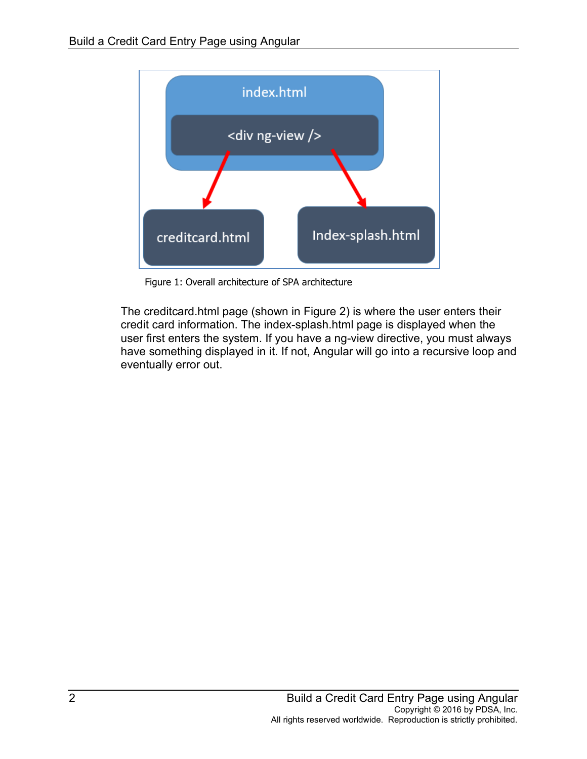

Figure 1: Overall architecture of SPA architecture

<span id="page-1-0"></span>The creditcard.html page (shown in [Figure 2\)](#page-2-0) is where the user enters their credit card information. The index-splash.html page is displayed when the user first enters the system. If you have a ng-view directive, you must always have something displayed in it. If not, Angular will go into a recursive loop and eventually error out.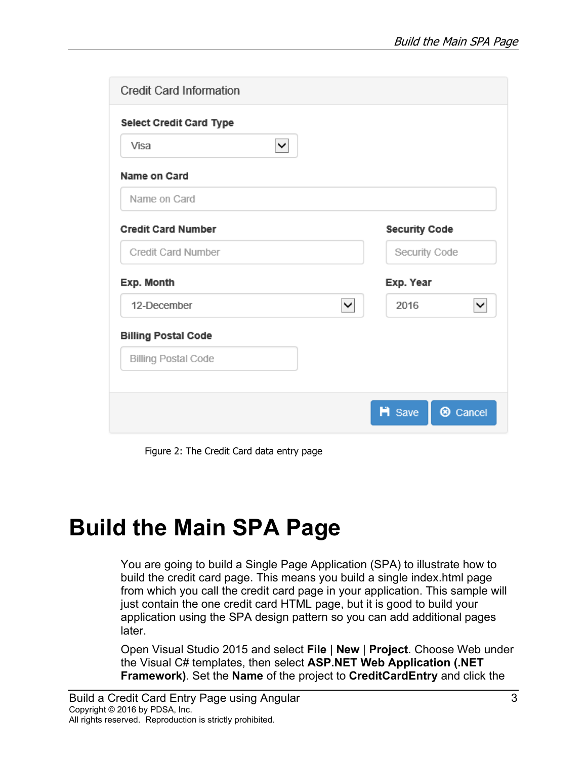| <b>Credit Card Information</b> |                                      |
|--------------------------------|--------------------------------------|
| <b>Select Credit Card Type</b> |                                      |
| ⊻∣<br>Visa                     |                                      |
| Name on Card                   |                                      |
| Name on Card                   |                                      |
| <b>Credit Card Number</b>      | <b>Security Code</b>                 |
| <b>Credit Card Number</b>      | Security Code                        |
| Exp. Month                     | Exp. Year                            |
| 12-December<br>$\checkmark$    | 2016<br>$\checkmark$                 |
| <b>Billing Postal Code</b>     |                                      |
| <b>Billing Postal Code</b>     |                                      |
|                                |                                      |
|                                | <b>H</b> Save<br><sup>®</sup> Cancel |

Figure 2: The Credit Card data entry page

# <span id="page-2-0"></span>**Build the Main SPA Page**

You are going to build a Single Page Application (SPA) to illustrate how to build the credit card page. This means you build a single index.html page from which you call the credit card page in your application. This sample will just contain the one credit card HTML page, but it is good to build your application using the SPA design pattern so you can add additional pages later.

Open Visual Studio 2015 and select **File** | **New** | **Project**. Choose Web under the Visual C# templates, then select **ASP.NET Web Application (.NET Framework)**. Set the **Name** of the project to **CreditCardEntry** and click the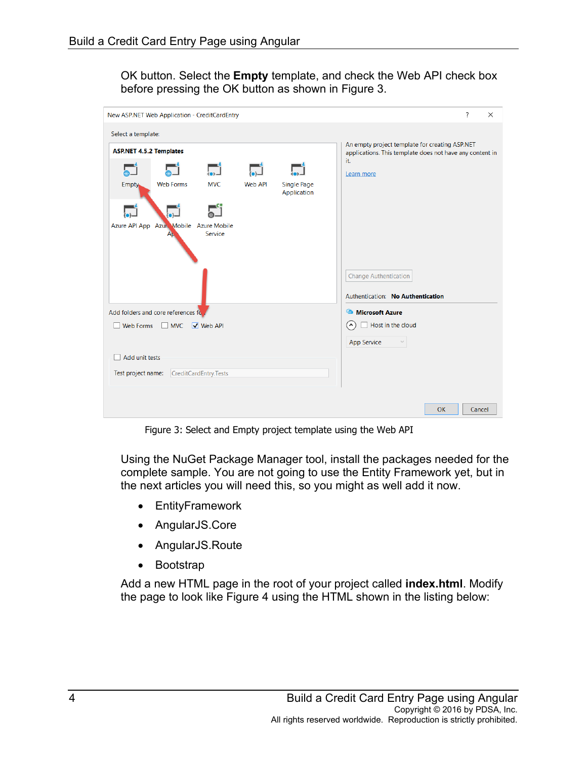OK button. Select the **Empty** template, and check the Web API check box before pressing the OK button as shown in [Figure 3.](#page-3-0)

| New ASP.NET Web Application - CreditCardEntry           |                                              |                       |                |                                                                                                                   | ?<br>$\times$                     |
|---------------------------------------------------------|----------------------------------------------|-----------------------|----------------|-------------------------------------------------------------------------------------------------------------------|-----------------------------------|
| Select a template:                                      |                                              |                       |                |                                                                                                                   |                                   |
| <b>ASP.NET 4.5.2 Templates</b>                          |                                              |                       |                | An empty project template for creating ASP.NET<br>applications. This template does not have any content in<br>it. |                                   |
|                                                         |                                              | نی                    | $\Box$         |                                                                                                                   | Learn more                        |
| Empty.                                                  | <b>Web Forms</b>                             | <b>MVC</b>            | <b>Web API</b> | Single Page<br>Application                                                                                        |                                   |
|                                                         |                                              |                       |                |                                                                                                                   |                                   |
|                                                         | Azure API App Azur Mobile Azure Mobile<br>Aμ | Service               |                |                                                                                                                   |                                   |
|                                                         |                                              |                       |                |                                                                                                                   | <b>Change Authentication</b>      |
|                                                         |                                              |                       |                |                                                                                                                   | Authentication: No Authentication |
|                                                         | Add folders and core references for          |                       |                | Microsoft Azure                                                                                                   |                                   |
| $\sqrt{\phantom{a}}$ Web API<br>Web Forms<br>$\Box$ MVC |                                              |                       |                |                                                                                                                   | Host in the cloud<br>$\lambda$    |
|                                                         |                                              |                       |                |                                                                                                                   | <b>App Service</b>                |
| Add unit tests                                          |                                              |                       |                |                                                                                                                   |                                   |
| Test project name:                                      |                                              | CreditCardEntry.Tests |                |                                                                                                                   |                                   |
|                                                         |                                              |                       |                |                                                                                                                   |                                   |
|                                                         |                                              |                       |                |                                                                                                                   | <b>OK</b><br>Cancel               |

Figure 3: Select and Empty project template using the Web API

<span id="page-3-0"></span>Using the NuGet Package Manager tool, install the packages needed for the complete sample. You are not going to use the Entity Framework yet, but in the next articles you will need this, so you might as well add it now.

- EntityFramework
- AngularJS.Core
- AngularJS.Route
- Bootstrap

Add a new HTML page in the root of your project called **index.html**. Modify the page to look like [Figure 4](#page-5-0) using the HTML shown in the listing below: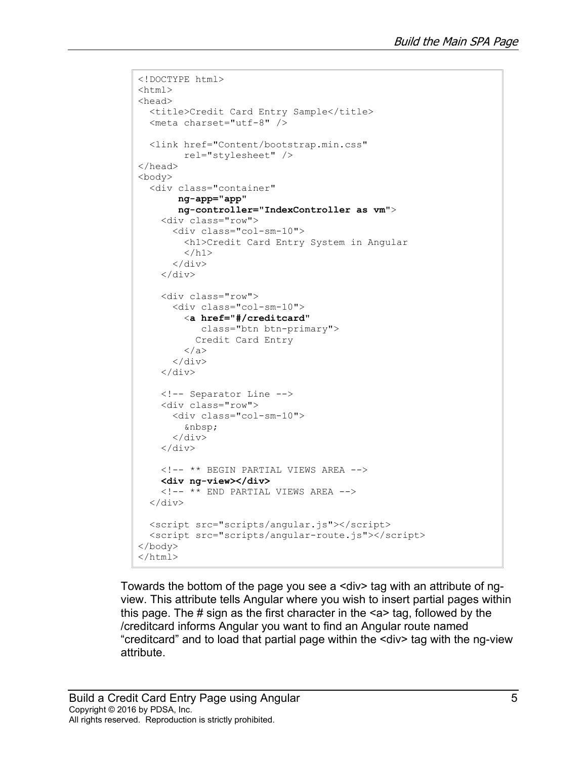```
<!DOCTYPE html>
<html><head>
 <title>Credit Card Entry Sample</title>
   <meta charset="utf-8" />
   <link href="Content/bootstrap.min.css" 
         rel="stylesheet" />
</head>
<body>
   <div class="container"
        ng-app="app"
        ng-controller="IndexController as vm">
     <div class="row">
       <div class="col-sm-10">
         <h1>Credit Card Entry System in Angular
        \langle/h1>
      \langle div>
    \langle div>
     <div class="row">
       <div class="col-sm-10">
         <a href="#/creditcard"
             class="btn btn-primary">
           Credit Card Entry
         </a>
      \langle div\rangle\langle div>
     <!-- Separator Line -->
     <div class="row">
       <div class="col-sm-10">
         
      \langlediv>
    \langle/div\rangle <!-- ** BEGIN PARTIAL VIEWS AREA -->
     <div ng-view></div>
    \langle!-- ** END PARTIAL VIEWS AREA -->
  \langle div>
   <script src="scripts/angular.js"></script>
   <script src="scripts/angular-route.js"></script>
</body>
</html>
```
Towards the bottom of the page you see a <div> tag with an attribute of ngview. This attribute tells Angular where you wish to insert partial pages within this page. The  $\#$  sign as the first character in the  $\leq a$  tag, followed by the /creditcard informs Angular you want to find an Angular route named "creditcard" and to load that partial page within the <div> tag with the ng-view attribute.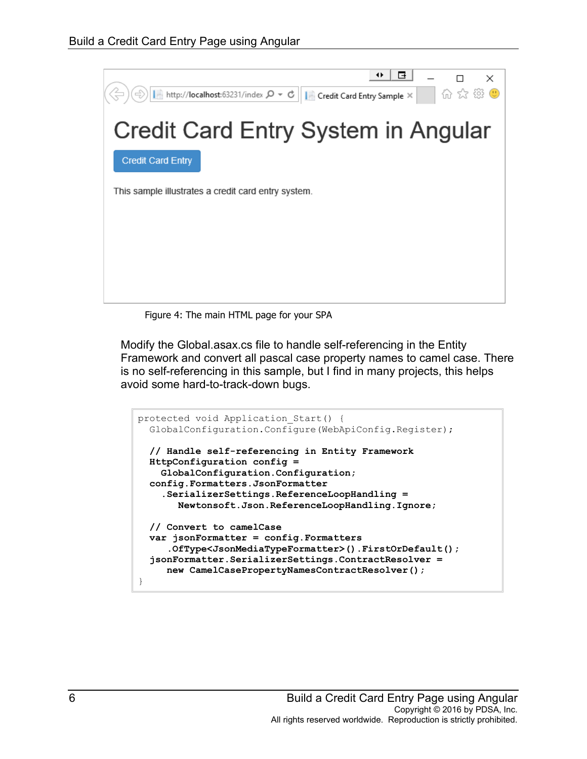

Figure 4: The main HTML page for your SPA

<span id="page-5-0"></span>Modify the Global.asax.cs file to handle self-referencing in the Entity Framework and convert all pascal case property names to camel case. There is no self-referencing in this sample, but I find in many projects, this helps avoid some hard-to-track-down bugs.

```
protected void Application Start() {
  GlobalConfiguration.Configure(WebApiConfig.Register);
   // Handle self-referencing in Entity Framework
  HttpConfiguration config =
     GlobalConfiguration.Configuration;
   config.Formatters.JsonFormatter
     .SerializerSettings.ReferenceLoopHandling =
        Newtonsoft.Json.ReferenceLoopHandling.Ignore;
   // Convert to camelCase
   var jsonFormatter = config.Formatters
      .OfType<JsonMediaTypeFormatter>().FirstOrDefault();
   jsonFormatter.SerializerSettings.ContractResolver = 
      new CamelCasePropertyNamesContractResolver();
}
```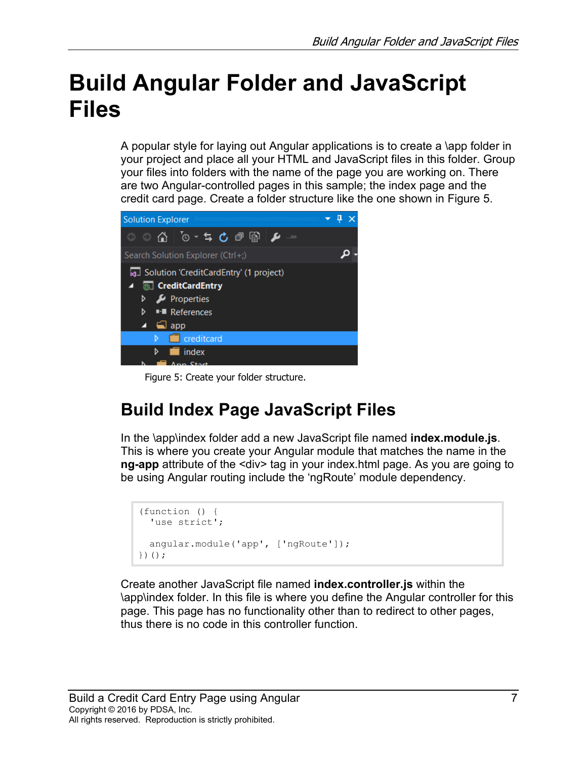# **Build Angular Folder and JavaScript Files**

A popular style for laying out Angular applications is to create a \app folder in your project and place all your HTML and JavaScript files in this folder. Group your files into folders with the name of the page you are working on. There are two Angular-controlled pages in this sample; the index page and the credit card page. Create a folder structure like the one shown in [Figure 5.](#page-6-0)



Figure 5: Create your folder structure.

#### <span id="page-6-0"></span>**Build Index Page JavaScript Files**

In the \app\index folder add a new JavaScript file named **index.module.js**. This is where you create your Angular module that matches the name in the **ng-app** attribute of the <div> tag in your index.html page. As you are going to be using Angular routing include the 'ngRoute' module dependency.

```
(function () {
  'use strict';
   angular.module('app', ['ngRoute']);
})();
```
Create another JavaScript file named **index.controller.js** within the \app\index folder. In this file is where you define the Angular controller for this page. This page has no functionality other than to redirect to other pages, thus there is no code in this controller function.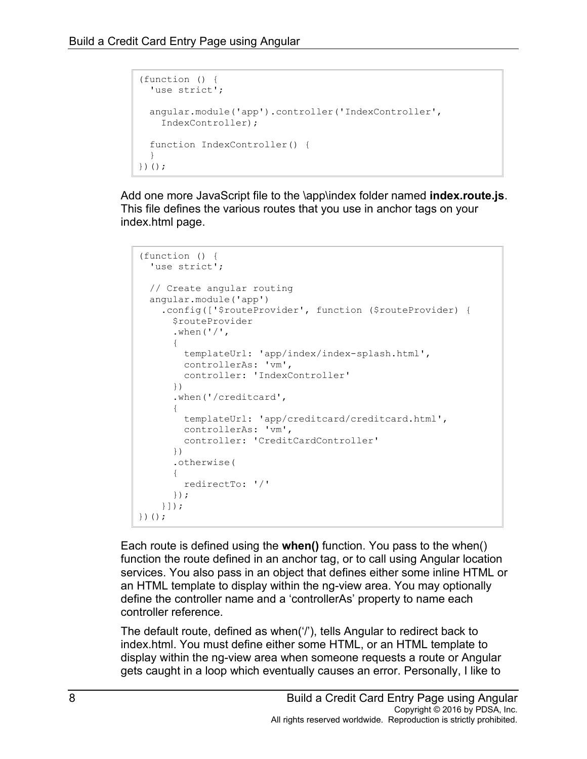```
(function () {
 'use strict';
  angular.module('app').controller('IndexController',
    IndexController);
  function IndexController() {
  }
})();
```
Add one more JavaScript file to the \app\index folder named **index.route.js**. This file defines the various routes that you use in anchor tags on your index.html page.

```
(function () {
   'use strict';
  // Create angular routing
  angular.module('app')
     .config(['$routeProvider', function ($routeProvider) {
       $routeProvider
      .when('/'),
       {
         templateUrl: 'app/index/index-splash.html',
         controllerAs: 'vm',
         controller: 'IndexController'
       })
       .when('/creditcard',
       {
         templateUrl: 'app/creditcard/creditcard.html',
         controllerAs: 'vm',
         controller: 'CreditCardController'
       })
       .otherwise(
       {
         redirectTo: '/'
       });
     }]);
})();
```
Each route is defined using the **when()** function. You pass to the when() function the route defined in an anchor tag, or to call using Angular location services. You also pass in an object that defines either some inline HTML or an HTML template to display within the ng-view area. You may optionally define the controller name and a 'controllerAs' property to name each controller reference.

The default route, defined as when('/'), tells Angular to redirect back to index.html. You must define either some HTML, or an HTML template to display within the ng-view area when someone requests a route or Angular gets caught in a loop which eventually causes an error. Personally, I like to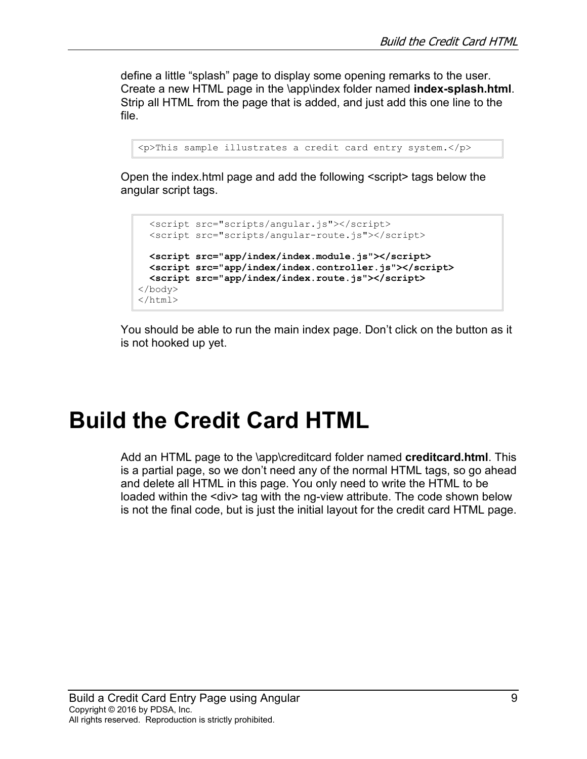define a little "splash" page to display some opening remarks to the user. Create a new HTML page in the \app\index folder named **index-splash.html**. Strip all HTML from the page that is added, and just add this one line to the file.

```
<p>This sample illustrates a credit card entry system.</p>
```
Open the index.html page and add the following <script> tags below the angular script tags.

```
 <script src="scripts/angular.js"></script>
  <script src="scripts/angular-route.js"></script>
  <script src="app/index/index.module.js"></script>
  <script src="app/index/index.controller.js"></script>
  <script src="app/index/index.route.js"></script>
</body>
</html>
```
You should be able to run the main index page. Don't click on the button as it is not hooked up yet.

### **Build the Credit Card HTML**

Add an HTML page to the \app\creditcard folder named **creditcard.html**. This is a partial page, so we don't need any of the normal HTML tags, so go ahead and delete all HTML in this page. You only need to write the HTML to be loaded within the <div> tag with the ng-view attribute. The code shown below is not the final code, but is just the initial layout for the credit card HTML page.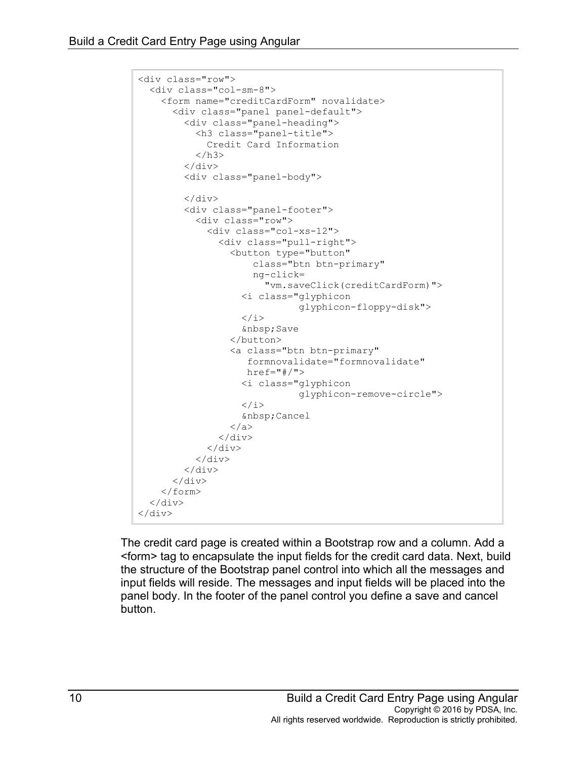```
<div class="row">
   <div class="col-sm-8">
     <form name="creditCardForm" novalidate>
       <div class="panel panel-default">
         <div class="panel-heading">
            <h3 class="panel-title">
              Credit Card Information
           \langle/h3>
          </div>
          <div class="panel-body">
          </div>
          <div class="panel-footer">
            <div class="row">
              <div class="col-xs-12">
                 <div class="pull-right">
                   <button type="button"
                       class="btn btn-primary"
                      ng-click=
                          "vm.saveClick(creditCardForm)">
                     <i class="glyphicon 
                                 glyphicon-floppy-disk">
                    \langle / i >  Save
                   </button>
                   <a class="btn btn-primary"
                      formnovalidate="formnovalidate"
                     href=" \# /">
                     <i class="glyphicon 
                                 glyphicon-remove-circle">
                    \langle/i>
                     Cancel
                   </a>
                \langle div>
             \langle div>
           \langle div>
         \langle div>
      \langle div>
     </form>
  \langle div>
\langle div>
```
The credit card page is created within a Bootstrap row and a column. Add a <form> tag to encapsulate the input fields for the credit card data. Next, build the structure of the Bootstrap panel control into which all the messages and input fields will reside. The messages and input fields will be placed into the panel body. In the footer of the panel control you define a save and cancel button.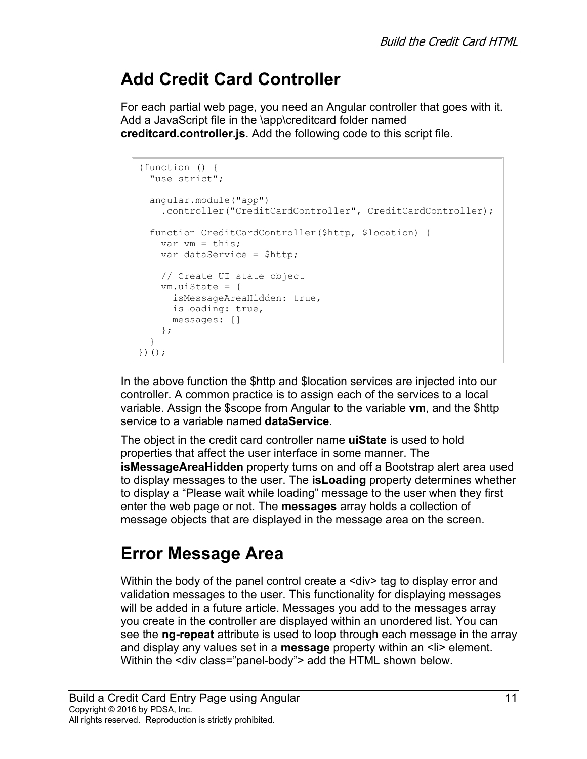#### **Add Credit Card Controller**

For each partial web page, you need an Angular controller that goes with it. Add a JavaScript file in the \app\creditcard folder named **creditcard.controller.js**. Add the following code to this script file.

```
(function () {
  "use strict";
  angular.module("app")
     .controller("CreditCardController", CreditCardController);
  function CreditCardController($http, $location) {
   var vm = this;
    var dataService = $http;
    // Create UI state object
    vm.uiState = {
      isMessageAreaHidden: true,
      isLoading: true,
      messages: []
    };
  }
})();
```
In the above function the \$http and \$location services are injected into our controller. A common practice is to assign each of the services to a local variable. Assign the \$scope from Angular to the variable **vm**, and the \$http service to a variable named **dataService**.

The object in the credit card controller name **uiState** is used to hold properties that affect the user interface in some manner. The **isMessageAreaHidden** property turns on and off a Bootstrap alert area used to display messages to the user. The **isLoading** property determines whether to display a "Please wait while loading" message to the user when they first enter the web page or not. The **messages** array holds a collection of message objects that are displayed in the message area on the screen.

### **Error Message Area**

Within the body of the panel control create a <div> tag to display error and validation messages to the user. This functionality for displaying messages will be added in a future article. Messages you add to the messages array you create in the controller are displayed within an unordered list. You can see the **ng-repeat** attribute is used to loop through each message in the array and display any values set in a **message** property within an <li> element. Within the <div class="panel-body"> add the HTML shown below.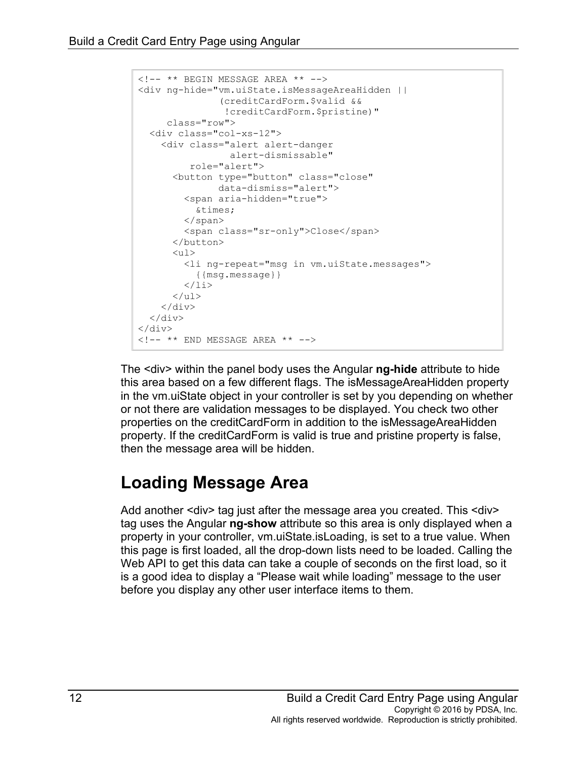```
<!-- ** BEGIN MESSAGE AREA ** -->
<div ng-hide="vm.uiState.isMessageAreaHidden ||
                (creditCardForm.$valid &&
                 !creditCardForm.$pristine)"
      class="row">
   <div class="col-xs-12">
     <div class="alert alert-danger 
                   alert-dismissable" 
          role="alert">
       <button type="button" class="close"
                data-dismiss="alert">
          <span aria-hidden="true">
          ×
         </span>
          <span class="sr-only">Close</span>
       </button>
      \langle 11 \rangle <li ng-repeat="msg in vm.uiState.messages">
           {{msg.message}}
         \langle/li>\langle/ul>
    \langle div\rangle\langlediv\rangle\langle div\rangle\langle!-- ** END MESSAGE AREA ** -->
```
The <div> within the panel body uses the Angular **ng-hide** attribute to hide this area based on a few different flags. The isMessageAreaHidden property in the vm.uiState object in your controller is set by you depending on whether or not there are validation messages to be displayed. You check two other properties on the creditCardForm in addition to the isMessageAreaHidden property. If the creditCardForm is valid is true and pristine property is false, then the message area will be hidden.

#### **Loading Message Area**

Add another <div> tag just after the message area you created. This <div> tag uses the Angular **ng-show** attribute so this area is only displayed when a property in your controller, vm.uiState.isLoading, is set to a true value. When this page is first loaded, all the drop-down lists need to be loaded. Calling the Web API to get this data can take a couple of seconds on the first load, so it is a good idea to display a "Please wait while loading" message to the user before you display any other user interface items to them.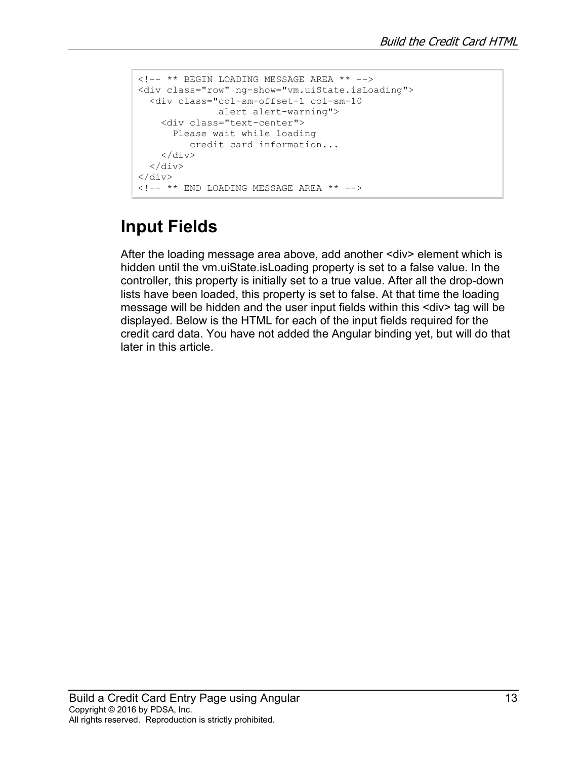```
<!-- ** BEGIN LOADING MESSAGE AREA ** -->
<div class="row" ng-show="vm.uiState.isLoading">
  <div class="col-sm-offset-1 col-sm-10 
               alert alert-warning">
    <div class="text-center">
      Please wait while loading 
         credit card information...
    \langle div>
 \langlediv></div>
<!-- ** END LOADING MESSAGE AREA ** -->
```
#### **Input Fields**

After the loading message area above, add another <div> element which is hidden until the vm.uiState.isLoading property is set to a false value. In the controller, this property is initially set to a true value. After all the drop-down lists have been loaded, this property is set to false. At that time the loading message will be hidden and the user input fields within this <div> tag will be displayed. Below is the HTML for each of the input fields required for the credit card data. You have not added the Angular binding yet, but will do that later in this article.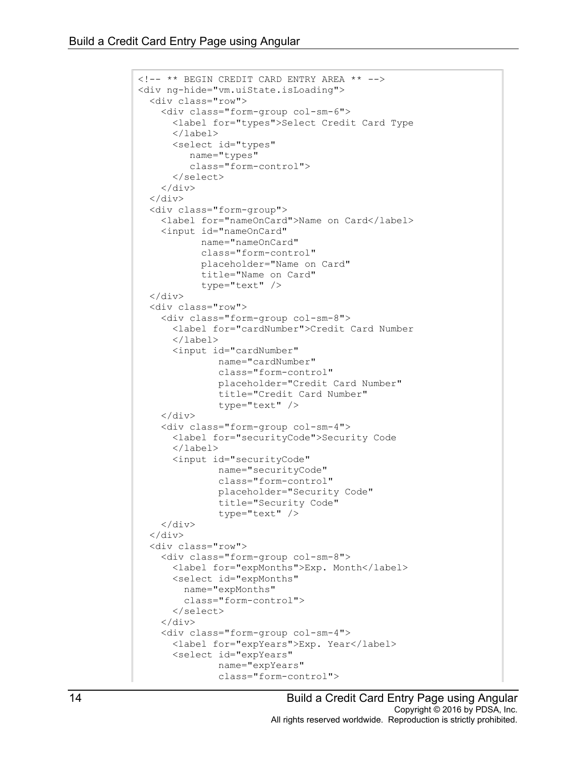```
<!-- ** BEGIN CREDIT CARD ENTRY AREA ** -->
<div ng-hide="vm.uiState.isLoading">
   <div class="row">
     <div class="form-group col-sm-6">
       <label for="types">Select Credit Card Type
       </label>
       <select id="types"
          name="types"
          class="form-control">
       </select>
     </div>
  \langle/div\rangle <div class="form-group">
     <label for="nameOnCard">Name on Card</label>
     <input id="nameOnCard"
            name="nameOnCard"
            class="form-control"
            placeholder="Name on Card"
            title="Name on Card"
            type="text" />
   </div>
   <div class="row">
     <div class="form-group col-sm-8">
       <label for="cardNumber">Credit Card Number
       </label>
       <input id="cardNumber"
                name="cardNumber"
                class="form-control"
                placeholder="Credit Card Number"
                title="Credit Card Number"
                type="text" />
    \langle div\rangle <div class="form-group col-sm-4">
       <label for="securityCode">Security Code
       </label>
       <input id="securityCode"
                name="securityCode"
                class="form-control"
                placeholder="Security Code"
               title="Security Code"
                type="text" />
     </div>
 \langle/div\rangle <div class="row">
     <div class="form-group col-sm-8">
       <label for="expMonths">Exp. Month</label>
       <select id="expMonths"
         name="expMonths"
         class="form-control">
       </select>
     </div>
     <div class="form-group col-sm-4">
       <label for="expYears">Exp. Year</label>
       <select id="expYears"
               name="expYears"
                class="form-control">
```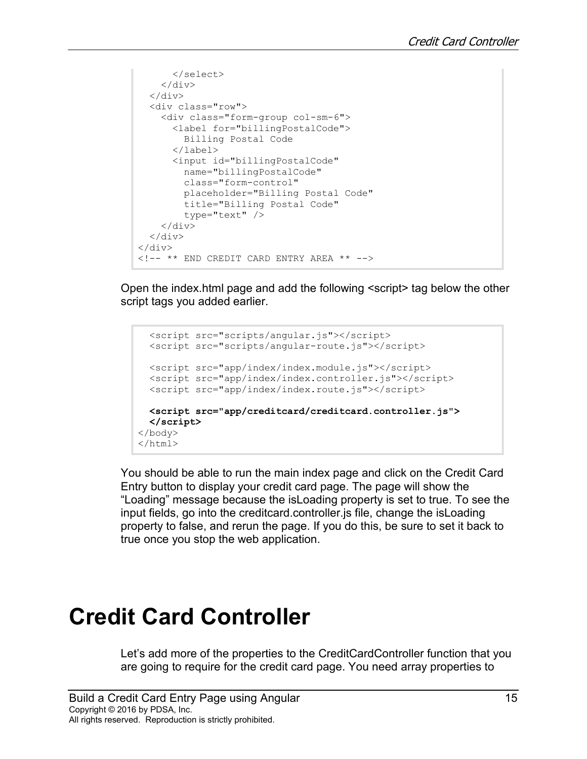```
 </select>
    \langle /div>
  </div>
  <div class="row">
     <div class="form-group col-sm-6">
       <label for="billingPostalCode">
         Billing Postal Code
       </label>
       <input id="billingPostalCode"
         name="billingPostalCode"
         class="form-control"
         placeholder="Billing Postal Code"
         title="Billing Postal Code"
         type="text" />
    \langle div>
  \langlediv\rangle</div>
<!-- ** END CREDIT CARD ENTRY AREA ** -->
```
Open the index.html page and add the following <script> tag below the other script tags you added earlier.

```
 <script src="scripts/angular.js"></script>
  <script src="scripts/angular-route.js"></script>
  <script src="app/index/index.module.js"></script>
  <script src="app/index/index.controller.js"></script>
  <script src="app/index/index.route.js"></script>
  <script src="app/creditcard/creditcard.controller.js">
  </script>
</body>
</html>
```
You should be able to run the main index page and click on the Credit Card Entry button to display your credit card page. The page will show the "Loading" message because the isLoading property is set to true. To see the input fields, go into the creditcard.controller.js file, change the isLoading property to false, and rerun the page. If you do this, be sure to set it back to true once you stop the web application.

# **Credit Card Controller**

Let's add more of the properties to the CreditCardController function that you are going to require for the credit card page. You need array properties to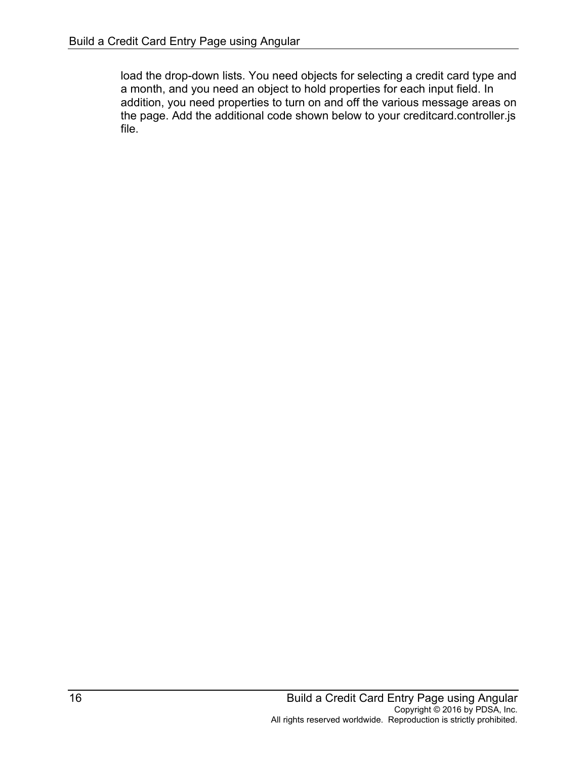load the drop-down lists. You need objects for selecting a credit card type and a month, and you need an object to hold properties for each input field. In addition, you need properties to turn on and off the various message areas on the page. Add the additional code shown below to your creditcard.controller.js file.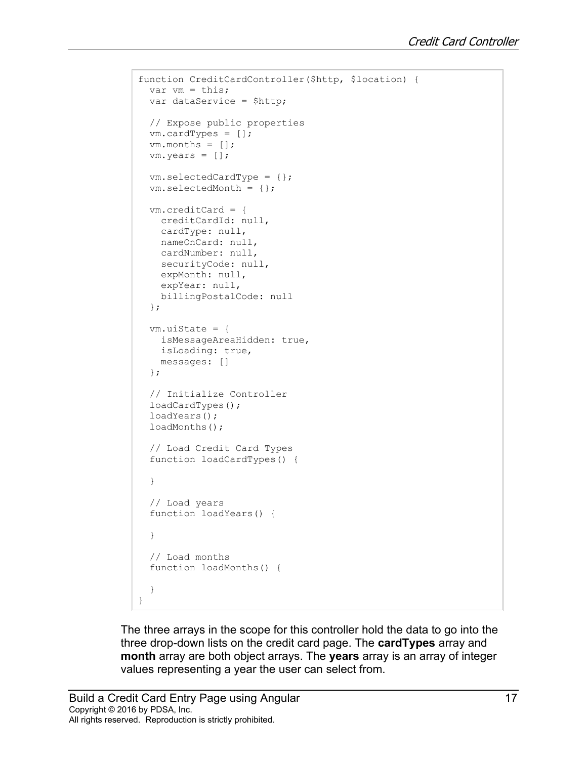```
function CreditCardController($http, $location) {
  var vm = this;
  var dataService = $http;
  // Expose public properties
  vm.cardTypes = [];
 vm.months = [];
  vm.years = [];
  vm.selectedCardType = {};
  vm.selectedMonth = {};
  vm.creditCard = {
    creditCardId: null,
    cardType: null,
    nameOnCard: null,
    cardNumber: null,
    securityCode: null,
    expMonth: null,
    expYear: null,
    billingPostalCode: null
  };
  vm.uiState = {
    isMessageAreaHidden: true,
    isLoading: true,
    messages: []
  };
  // Initialize Controller
  loadCardTypes();
  loadYears();
  loadMonths();
  // Load Credit Card Types
   function loadCardTypes() {
  }
  // Load years
  function loadYears() {
   }
  // Load months
   function loadMonths() {
  }
}
```
The three arrays in the scope for this controller hold the data to go into the three drop-down lists on the credit card page. The **cardTypes** array and **month** array are both object arrays. The **years** array is an array of integer values representing a year the user can select from.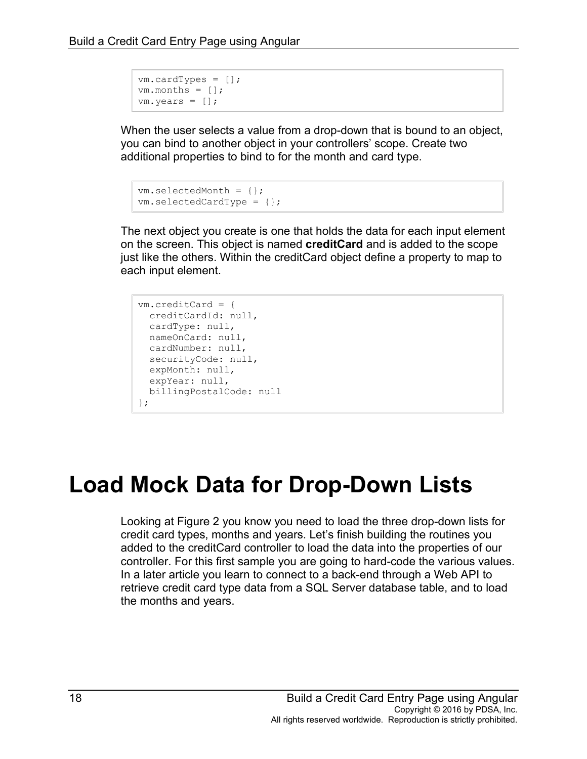```
vm.cardTypes = [];
vm.months = [];
vm.years = [];
```
When the user selects a value from a drop-down that is bound to an object, you can bind to another object in your controllers' scope. Create two additional properties to bind to for the month and card type.

```
vm.selectedMonth = {};
vm.selectedCardType = {};
```
The next object you create is one that holds the data for each input element on the screen. This object is named **creditCard** and is added to the scope just like the others. Within the creditCard object define a property to map to each input element.

```
vm.creditCard = {
  creditCardId: null,
  cardType: null,
 nameOnCard: null,
  cardNumber: null,
  securityCode: null,
 expMonth: null,
 expYear: null,
 billingPostalCode: null
};
```
# **Load Mock Data for Drop-Down Lists**

Looking at [Figure 2](#page-2-0) you know you need to load the three drop-down lists for credit card types, months and years. Let's finish building the routines you added to the creditCard controller to load the data into the properties of our controller. For this first sample you are going to hard-code the various values. In a later article you learn to connect to a back-end through a Web API to retrieve credit card type data from a SQL Server database table, and to load the months and years.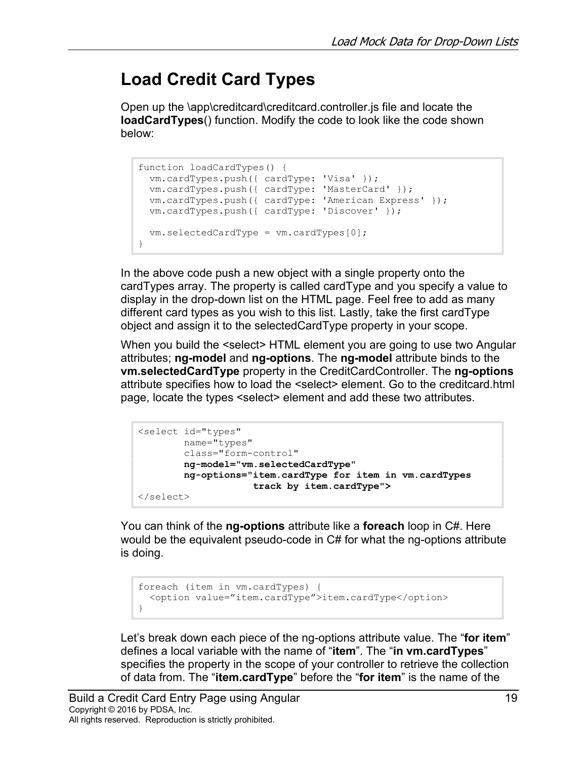#### **Load Credit Card Types**

Open up the \app\creditcard\creditcard.controller.js file and locate the **loadCardTypes**() function. Modify the code to look like the code shown below:

```
function loadCardTypes() {
  vm.cardTypes.push({ cardType: 'Visa' });
  vm.cardTypes.push({ cardType: 'MasterCard' });
  vm.cardTypes.push({ cardType: 'American Express' });
  vm.cardTypes.push({ cardType: 'Discover' });
  vm.selectedCardType = vm.cardTypes[0];
}
```
In the above code push a new object with a single property onto the cardTypes array. The property is called cardType and you specify a value to display in the drop-down list on the HTML page. Feel free to add as many different card types as you wish to this list. Lastly, take the first cardType object and assign it to the selectedCardType property in your scope.

When you build the <select> HTML element you are going to use two Angular attributes; **ng-model** and **ng-options**. The **ng-model** attribute binds to the **vm.selectedCardType** property in the CreditCardController. The **ng-options** attribute specifies how to load the <select> element. Go to the creditcard.html page, locate the types <select> element and add these two attributes.

```
<select id="types"
        name="types"
        class="form-control"
         ng-model="vm.selectedCardType"
         ng-options="item.cardType for item in vm.cardTypes 
                     track by item.cardType">
</select>
```
You can think of the **ng-options** attribute like a **foreach** loop in C#. Here would be the equivalent pseudo-code in C# for what the ng-options attribute is doing.

```
foreach (item in vm.cardTypes) {
  <option value="item.cardType">item.cardType</option>
}
```
Let's break down each piece of the ng-options attribute value. The "**for item**" defines a local variable with the name of "**item**". The "**in vm.cardTypes**" specifies the property in the scope of your controller to retrieve the collection of data from. The "**item.cardType**" before the "**for item**" is the name of the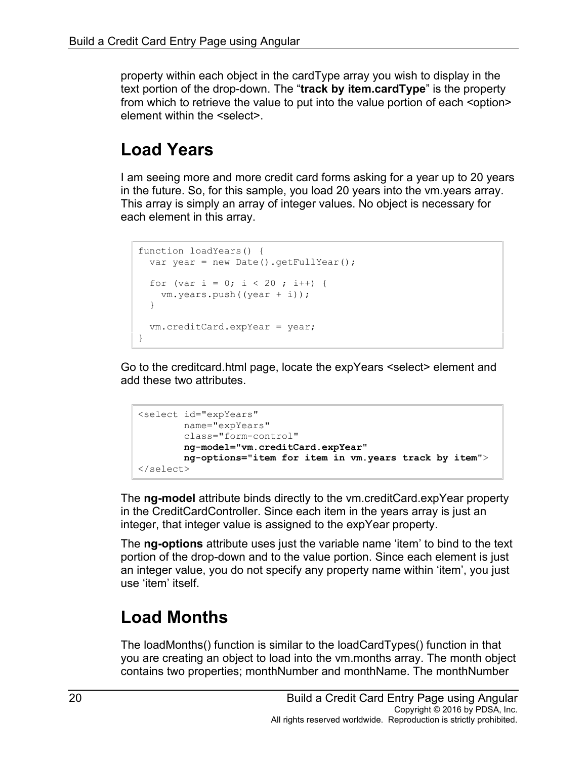property within each object in the cardType array you wish to display in the text portion of the drop-down. The "**track by item.cardType**" is the property from which to retrieve the value to put into the value portion of each <option> element within the <select>.

#### **Load Years**

I am seeing more and more credit card forms asking for a year up to 20 years in the future. So, for this sample, you load 20 years into the vm.years array. This array is simply an array of integer values. No object is necessary for each element in this array.

```
function loadYears() {
 var year = new Date().getFullYear();
 for (var i = 0; i < 20; i^{++}) {
    vm.years.push((year + i));
  }
  vm.creditCard.expYear = year;
}
```
Go to the creditcard.html page, locate the expYears <select> element and add these two attributes.

```
<select id="expYears"
        name="expYears"
        class="form-control"
        ng-model="vm.creditCard.expYear"
        ng-options="item for item in vm.years track by item">
</select>
```
The **ng-model** attribute binds directly to the vm.creditCard.expYear property in the CreditCardController. Since each item in the years array is just an integer, that integer value is assigned to the expYear property.

The **ng-options** attribute uses just the variable name 'item' to bind to the text portion of the drop-down and to the value portion. Since each element is just an integer value, you do not specify any property name within 'item', you just use 'item' itself.

#### **Load Months**

The loadMonths() function is similar to the loadCardTypes() function in that you are creating an object to load into the vm.months array. The month object contains two properties; monthNumber and monthName. The monthNumber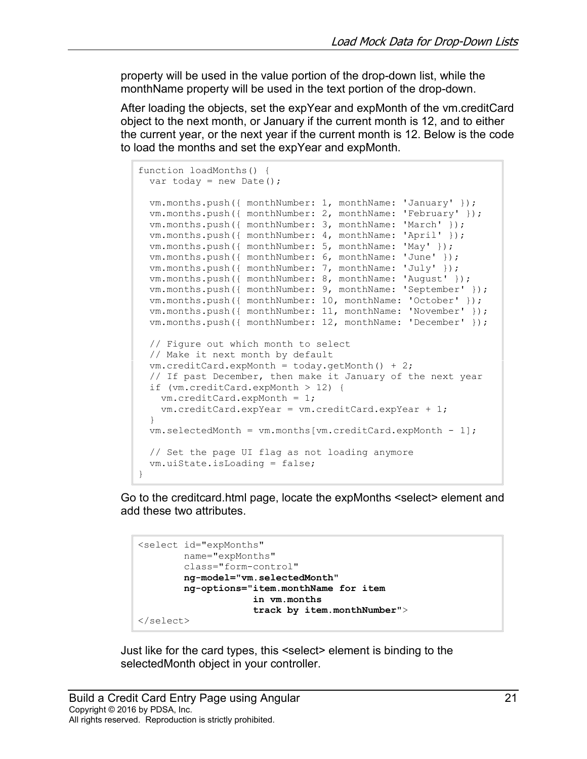property will be used in the value portion of the drop-down list, while the monthName property will be used in the text portion of the drop-down.

After loading the objects, set the expYear and expMonth of the vm.creditCard object to the next month, or January if the current month is 12, and to either the current year, or the next year if the current month is 12. Below is the code to load the months and set the expYear and expMonth.

```
function loadMonths() {
 var today = new Date();
  vm.months.push({ monthNumber: 1, monthName: 'January' });
  vm.months.push({ monthNumber: 2, monthName: 'February' });
  vm.months.push({ monthNumber: 3, monthName: 'March' });
  vm.months.push({ monthNumber: 4, monthName: 'April' });
  vm.months.push({ monthNumber: 5, monthName: 'May' });
  vm.months.push({ monthNumber: 6, monthName: 'June' });
  vm.months.push({ monthNumber: 7, monthName: 'July' });
  vm.months.push({ monthNumber: 8, monthName: 'August' });
  vm.months.push({ monthNumber: 9, monthName: 'September' });
  vm.months.push({ monthNumber: 10, monthName: 'October' });
  vm.months.push({ monthNumber: 11, monthName: 'November' });
  vm.months.push({ monthNumber: 12, monthName: 'December' });
  // Figure out which month to select
  // Make it next month by default
  vm.creditCard.expMonth = today.getMonth() + 2;
  // If past December, then make it January of the next year
  if (vm.creditCard.expMonth > 12) {
    vm.creditCard.expMonth = 1;
    vm.creditCard.expYear = vm.creditCard.expYear + 1;
  }
  vm.selectedMonth = vm.months[vm.creditCard.expMonth - 1];
  // Set the page UI flag as not loading anymore
  vm.uiState.isLoading = false;
}
```
Go to the creditcard.html page, locate the expMonths <select> element and add these two attributes.

```
<select id="expMonths"
        name="expMonths"
         class="form-control"
         ng-model="vm.selectedMonth"
         ng-options="item.monthName for item 
                      in vm.months 
                     track by item.monthNumber">
</select>
```
Just like for the card types, this <select> element is binding to the selectedMonth object in your controller.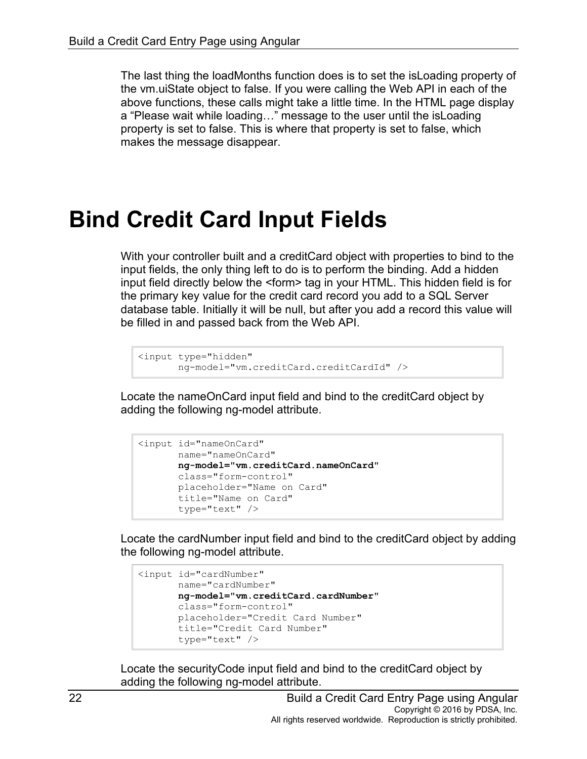The last thing the loadMonths function does is to set the isLoading property of the vm.uiState object to false. If you were calling the Web API in each of the above functions, these calls might take a little time. In the HTML page display a "Please wait while loading…" message to the user until the isLoading property is set to false. This is where that property is set to false, which makes the message disappear.

### **Bind Credit Card Input Fields**

With your controller built and a creditCard object with properties to bind to the input fields, the only thing left to do is to perform the binding. Add a hidden input field directly below the <form> tag in your HTML. This hidden field is for the primary key value for the credit card record you add to a SQL Server database table. Initially it will be null, but after you add a record this value will be filled in and passed back from the Web API.

```
<input type="hidden" 
        ng-model="vm.creditCard.creditCardId" />
```
Locate the nameOnCard input field and bind to the creditCard object by adding the following ng-model attribute.

```
<input id="nameOnCard"
       name="nameOnCard"
       ng-model="vm.creditCard.nameOnCard"
       class="form-control"
       placeholder="Name on Card"
       title="Name on Card"
       type="text" />
```
Locate the cardNumber input field and bind to the creditCard object by adding the following ng-model attribute.

```
<input id="cardNumber"
       name="cardNumber"
        ng-model="vm.creditCard.cardNumber"
        class="form-control"
        placeholder="Credit Card Number"
        title="Credit Card Number"
        type="text" />
```
Locate the securityCode input field and bind to the creditCard object by adding the following ng-model attribute.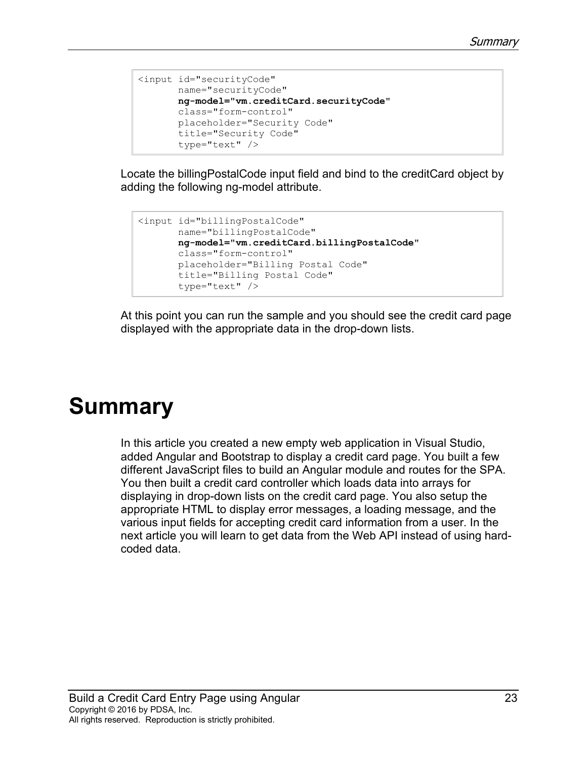```
<input id="securityCode"
       name="securityCode"
        ng-model="vm.creditCard.securityCode"
        class="form-control"
        placeholder="Security Code"
        title="Security Code"
        type="text" />
```
Locate the billingPostalCode input field and bind to the creditCard object by adding the following ng-model attribute.

```
<input id="billingPostalCode"
       name="billingPostalCode"
       ng-model="vm.creditCard.billingPostalCode"
       class="form-control"
       placeholder="Billing Postal Code"
       title="Billing Postal Code"
        type="text" />
```
At this point you can run the sample and you should see the credit card page displayed with the appropriate data in the drop-down lists.

### **Summary**

In this article you created a new empty web application in Visual Studio, added Angular and Bootstrap to display a credit card page. You built a few different JavaScript files to build an Angular module and routes for the SPA. You then built a credit card controller which loads data into arrays for displaying in drop-down lists on the credit card page. You also setup the appropriate HTML to display error messages, a loading message, and the various input fields for accepting credit card information from a user. In the next article you will learn to get data from the Web API instead of using hardcoded data.